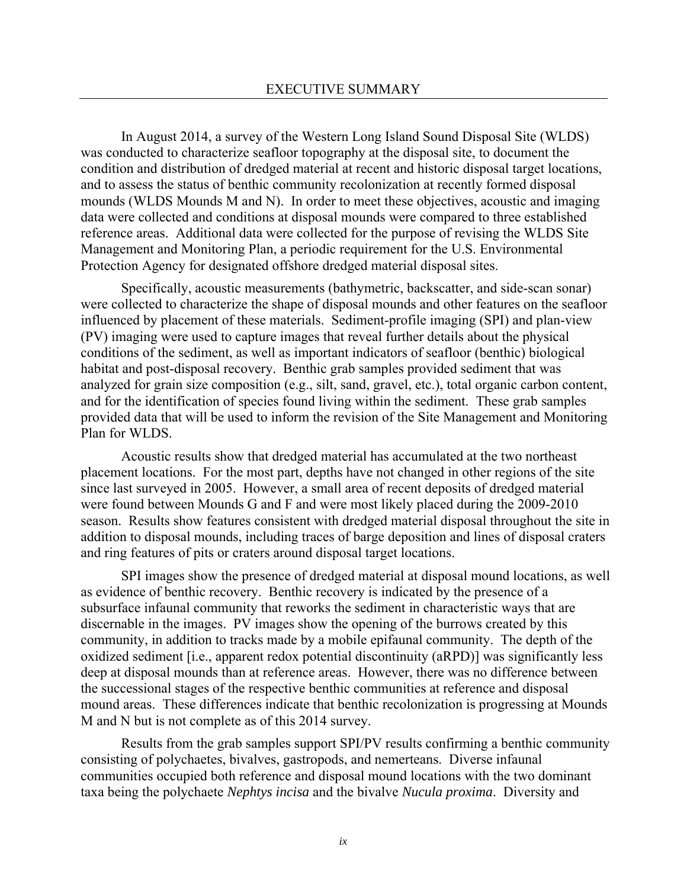In August 2014, a survey of the Western Long Island Sound Disposal Site (WLDS) was conducted to characterize seafloor topography at the disposal site, to document the condition and distribution of dredged material at recent and historic disposal target locations, and to assess the status of benthic community recolonization at recently formed disposal mounds (WLDS Mounds M and N). In order to meet these objectives, acoustic and imaging data were collected and conditions at disposal mounds were compared to three established reference areas. Additional data were collected for the purpose of revising the WLDS Site Management and Monitoring Plan, a periodic requirement for the U.S. Environmental Protection Agency for designated offshore dredged material disposal sites.

Specifically, acoustic measurements (bathymetric, backscatter, and side-scan sonar) were collected to characterize the shape of disposal mounds and other features on the seafloor influenced by placement of these materials. Sediment-profile imaging (SPI) and plan-view (PV) imaging were used to capture images that reveal further details about the physical conditions of the sediment, as well as important indicators of seafloor (benthic) biological habitat and post-disposal recovery. Benthic grab samples provided sediment that was analyzed for grain size composition (e.g., silt, sand, gravel, etc.), total organic carbon content, and for the identification of species found living within the sediment. These grab samples provided data that will be used to inform the revision of the Site Management and Monitoring Plan for WLDS.

Acoustic results show that dredged material has accumulated at the two northeast placement locations. For the most part, depths have not changed in other regions of the site since last surveyed in 2005. However, a small area of recent deposits of dredged material were found between Mounds G and F and were most likely placed during the 2009-2010 season. Results show features consistent with dredged material disposal throughout the site in addition to disposal mounds, including traces of barge deposition and lines of disposal craters and ring features of pits or craters around disposal target locations.

 SPI images show the presence of dredged material at disposal mound locations, as well as evidence of benthic recovery. Benthic recovery is indicated by the presence of a subsurface infaunal community that reworks the sediment in characteristic ways that are discernable in the images. PV images show the opening of the burrows created by this community, in addition to tracks made by a mobile epifaunal community. The depth of the oxidized sediment [i.e., apparent redox potential discontinuity (aRPD)] was significantly less deep at disposal mounds than at reference areas. However, there was no difference between the successional stages of the respective benthic communities at reference and disposal mound areas. These differences indicate that benthic recolonization is progressing at Mounds M and N but is not complete as of this 2014 survey.

Results from the grab samples support SPI/PV results confirming a benthic community consisting of polychaetes, bivalves, gastropods, and nemerteans. Diverse infaunal communities occupied both reference and disposal mound locations with the two dominant taxa being the polychaete *Nephtys incisa* and the bivalve *Nucula proxima*. Diversity and